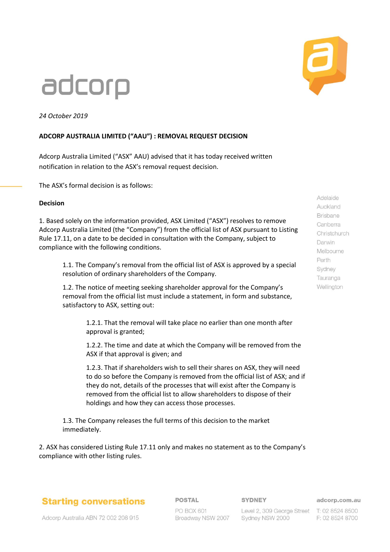# adcorp

*24 October 2019*

### **ADCORP AUSTRALIA LIMITED ("AAU") : REMOVAL REQUEST DECISION**

Adcorp Australia Limited ("ASX" AAU) advised that it has today received written notification in relation to the ASX's removal request decision.

The ASX's formal decision is as follows:

#### **Decision**

1. Based solely on the information provided, ASX Limited ("ASX") resolves to remove Adcorp Australia Limited (the "Company") from the official list of ASX pursuant to Listing Rule 17.11, on a date to be decided in consultation with the Company, subject to compliance with the following conditions.

1.1. The Company's removal from the official list of ASX is approved by a special resolution of ordinary shareholders of the Company.

1.2. The notice of meeting seeking shareholder approval for the Company's removal from the official list must include a statement, in form and substance, satisfactory to ASX, setting out:

> 1.2.1. That the removal will take place no earlier than one month after approval is granted;

1.2.2. The time and date at which the Company will be removed from the ASX if that approval is given; and

1.2.3. That if shareholders wish to sell their shares on ASX, they will need to do so before the Company is removed from the official list of ASX; and if they do not, details of the processes that will exist after the Company is removed from the official list to allow shareholders to dispose of their holdings and how they can access those processes.

1.3. The Company releases the full terms of this decision to the market immediately.

2. ASX has considered Listing Rule 17.11 only and makes no statement as to the Company's compliance with other listing rules.

### **Starting conversations**

**POSTAL** 

#### **SYDNEY**

adcorp.com.au

Adcorp Australia ABN 72 002 208 915

PO BOX 601 Broadway NSW 2007

Level 2, 309 George Street T: 02 8524 8500 Sydney NSW 2000

F: 02 8524 8700

Adelaide Auckland **Brisbane** Canberra Christchurch Darwin Melbourne Perth Sydney Tauranga Wellington